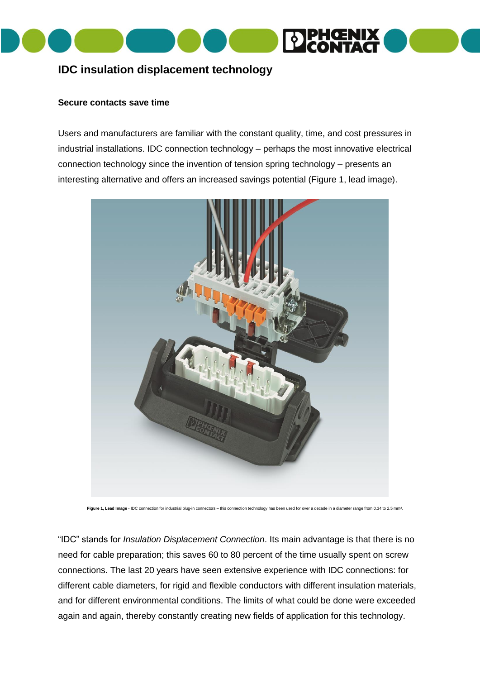

# **IDC insulation displacement technology**

## **Secure contacts save time**

Users and manufacturers are familiar with the constant quality, time, and cost pressures in industrial installations. IDC connection technology – perhaps the most innovative electrical connection technology since the invention of tension spring technology – presents an interesting alternative and offers an increased savings potential (Figure 1, lead image).



Figure 1, Lead Image - IDC connection for industrial plug-in connectors - this connection technology has been used for over a decade in a diameter range from 0.34 to 2.5 mm<sup>2</sup>.

"IDC" stands for *Insulation Displacement Connection*. Its main advantage is that there is no need for cable preparation; this saves 60 to 80 percent of the time usually spent on screw connections. The last 20 years have seen extensive experience with IDC connections: for different cable diameters, for rigid and flexible conductors with different insulation materials, and for different environmental conditions. The limits of what could be done were exceeded again and again, thereby constantly creating new fields of application for this technology.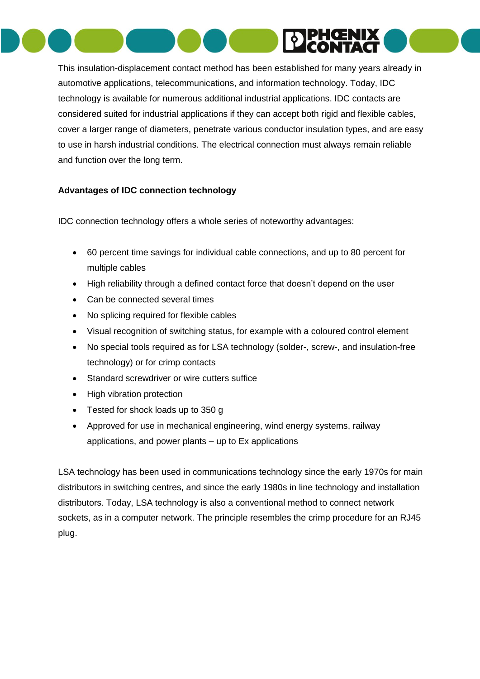

This insulation-displacement contact method has been established for many years already in automotive applications, telecommunications, and information technology. Today, IDC technology is available for numerous additional industrial applications. IDC contacts are considered suited for industrial applications if they can accept both rigid and flexible cables, cover a larger range of diameters, penetrate various conductor insulation types, and are easy to use in harsh industrial conditions. The electrical connection must always remain reliable and function over the long term.

## **Advantages of IDC connection technology**

IDC connection technology offers a whole series of noteworthy advantages:

- 60 percent time savings for individual cable connections, and up to 80 percent for multiple cables
- High reliability through a defined contact force that doesn't depend on the user
- Can be connected several times
- No splicing required for flexible cables
- Visual recognition of switching status, for example with a coloured control element
- No special tools required as for LSA technology (solder-, screw-, and insulation-free technology) or for crimp contacts
- Standard screwdriver or wire cutters suffice
- High vibration protection
- Tested for shock loads up to 350 g
- Approved for use in mechanical engineering, wind energy systems, railway applications, and power plants – up to Ex applications

LSA technology has been used in communications technology since the early 1970s for main distributors in switching centres, and since the early 1980s in line technology and installation distributors. Today, LSA technology is also a conventional method to connect network sockets, as in a computer network. The principle resembles the crimp procedure for an RJ45 plug.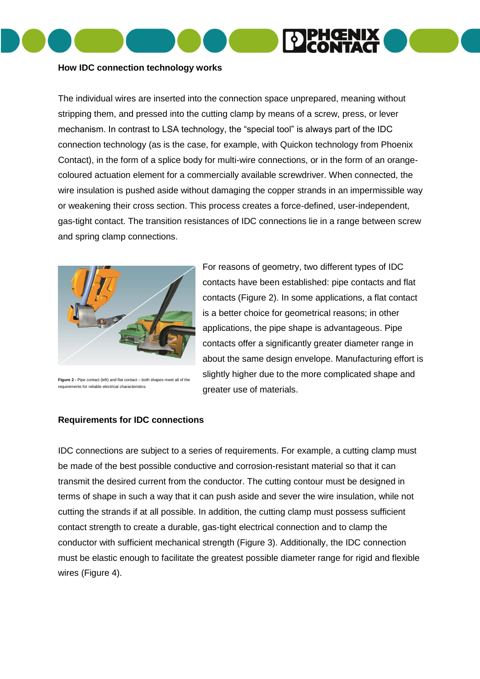

## **How IDC connection technology works**

The individual wires are inserted into the connection space unprepared, meaning without stripping them, and pressed into the cutting clamp by means of a screw, press, or lever mechanism. In contrast to LSA technology, the "special tool" is always part of the IDC connection technology (as is the case, for example, with Quickon technology from Phoenix Contact), in the form of a splice body for multi-wire connections, or in the form of an orangecoloured actuation element for a commercially available screwdriver. When connected, the wire insulation is pushed aside without damaging the copper strands in an impermissible way or weakening their cross section. This process creates a force-defined, user-independent, gas-tight contact. The transition resistances of IDC connections lie in a range between screw and spring clamp connections.



**Figure 2 -** Pipe contact (left) and flat contact – both shapes meet all of the requirements for reliable electrical characteristics.

For reasons of geometry, two different types of IDC contacts have been established: pipe contacts and flat contacts (Figure 2). In some applications, a flat contact is a better choice for geometrical reasons; in other applications, the pipe shape is advantageous. Pipe contacts offer a significantly greater diameter range in about the same design envelope. Manufacturing effort is slightly higher due to the more complicated shape and greater use of materials.

## **Requirements for IDC connections**

IDC connections are subject to a series of requirements. For example, a cutting clamp must be made of the best possible conductive and corrosion-resistant material so that it can transmit the desired current from the conductor. The cutting contour must be designed in terms of shape in such a way that it can push aside and sever the wire insulation, while not cutting the strands if at all possible. In addition, the cutting clamp must possess sufficient contact strength to create a durable, gas-tight electrical connection and to clamp the conductor with sufficient mechanical strength (Figure 3). Additionally, the IDC connection must be elastic enough to facilitate the greatest possible diameter range for rigid and flexible wires (Figure 4).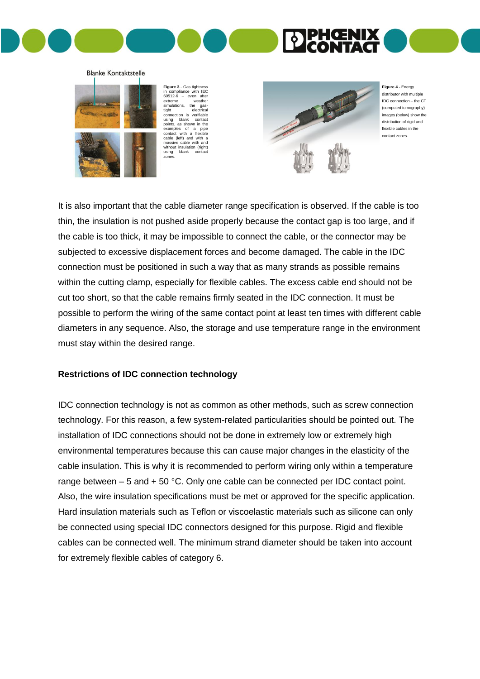

#### **Blanke Kontaktstelle**



**Figure 3** - Gas tightness in compliance with IEC 60512-6 – even after extreme weather simulations, the gas-<br>tight electrical tight electrical connection is verifiable using blank contact points, as shown in the examples of a pipe contact with a flexible cable (left) and with a massive cable with and without insulation (right) using blank contact zones



**Figure 4 -** Energy distributor with multiple IDC connection – the CT (computed tomography) images (below) show the distribution of rigid and flexible cables in the contact zones.

It is also important that the cable diameter range specification is observed. If the cable is too thin, the insulation is not pushed aside properly because the contact gap is too large, and if the cable is too thick, it may be impossible to connect the cable, or the connector may be subjected to excessive displacement forces and become damaged. The cable in the IDC connection must be positioned in such a way that as many strands as possible remains within the cutting clamp, especially for flexible cables. The excess cable end should not be cut too short, so that the cable remains firmly seated in the IDC connection. It must be possible to perform the wiring of the same contact point at least ten times with different cable diameters in any sequence. Also, the storage and use temperature range in the environment must stay within the desired range.

## **Restrictions of IDC connection technology**

IDC connection technology is not as common as other methods, such as screw connection technology. For this reason, a few system-related particularities should be pointed out. The installation of IDC connections should not be done in extremely low or extremely high environmental temperatures because this can cause major changes in the elasticity of the cable insulation. This is why it is recommended to perform wiring only within a temperature range between – 5 and + 50 °C. Only one cable can be connected per IDC contact point. Also, the wire insulation specifications must be met or approved for the specific application. Hard insulation materials such as Teflon or viscoelastic materials such as silicone can only be connected using special IDC connectors designed for this purpose. Rigid and flexible cables can be connected well. The minimum strand diameter should be taken into account for extremely flexible cables of category 6.